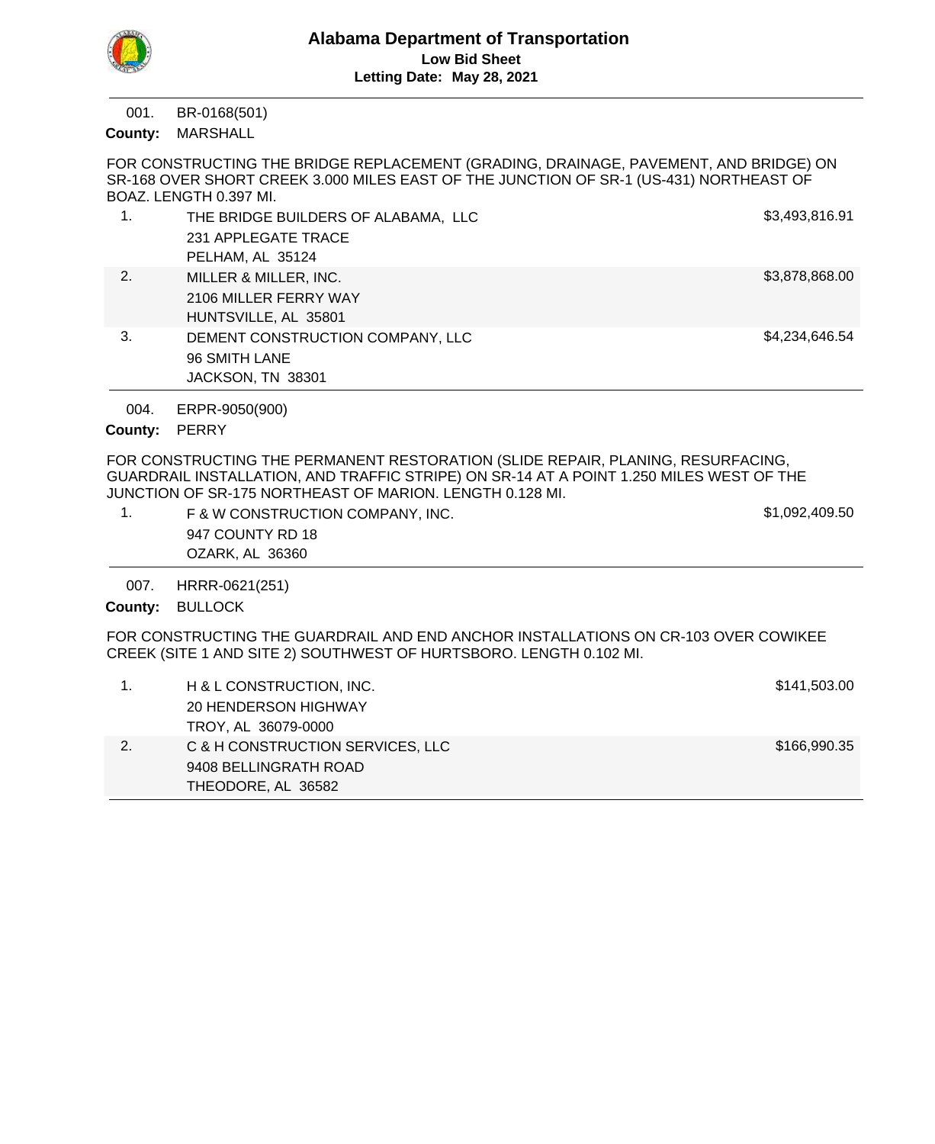

BR-0168(501) 001.

County: MARSHALL

FOR CONSTRUCTING THE BRIDGE REPLACEMENT (GRADING, DRAINAGE, PAVEMENT, AND BRIDGE) ON SR-168 OVER SHORT CREEK 3.000 MILES EAST OF THE JUNCTION OF SR-1 (US-431) NORTHEAST OF BOAZ. LENGTH 0.397 MI.

|    | THE BRIDGE BUILDERS OF ALABAMA, LLC | \$3,493,816.91 |
|----|-------------------------------------|----------------|
|    | 231 APPLEGATE TRACE                 |                |
|    | PELHAM, AL 35124                    |                |
| 2. | MILLER & MILLER, INC.               | \$3,878,868.00 |
|    | 2106 MILLER FERRY WAY               |                |
|    | HUNTSVILLE, AL 35801                |                |
| 3. | DEMENT CONSTRUCTION COMPANY, LLC    | \$4,234,646.54 |
|    | 96 SMITH LANE                       |                |
|    | JACKSON, TN 38301                   |                |

ERPR-9050(900) 004.

County: PERRY

FOR CONSTRUCTING THE PERMANENT RESTORATION (SLIDE REPAIR, PLANING, RESURFACING, GUARDRAIL INSTALLATION, AND TRAFFIC STRIPE) ON SR-14 AT A POINT 1.250 MILES WEST OF THE JUNCTION OF SR-175 NORTHEAST OF MARION. LENGTH 0.128 MI.

| F & W CONSTRUCTION COMPANY, INC. | \$1,092,409.50 |
|----------------------------------|----------------|
| 947 COUNTY RD 18                 |                |
| OZARK, AL 36360                  |                |
|                                  |                |

HRRR-0621(251) 007.

County: BULLOCK

FOR CONSTRUCTING THE GUARDRAIL AND END ANCHOR INSTALLATIONS ON CR-103 OVER COWIKEE CREEK (SITE 1 AND SITE 2) SOUTHWEST OF HURTSBORO. LENGTH 0.102 MI.

|    | H & L CONSTRUCTION, INC.         | \$141,503.00 |
|----|----------------------------------|--------------|
|    | 20 HENDERSON HIGHWAY             |              |
|    | TROY, AL 36079-0000              |              |
| 2. | C & H CONSTRUCTION SERVICES, LLC | \$166,990.35 |
|    | 9408 BELLINGRATH ROAD            |              |
|    | THEODORE, AL 36582               |              |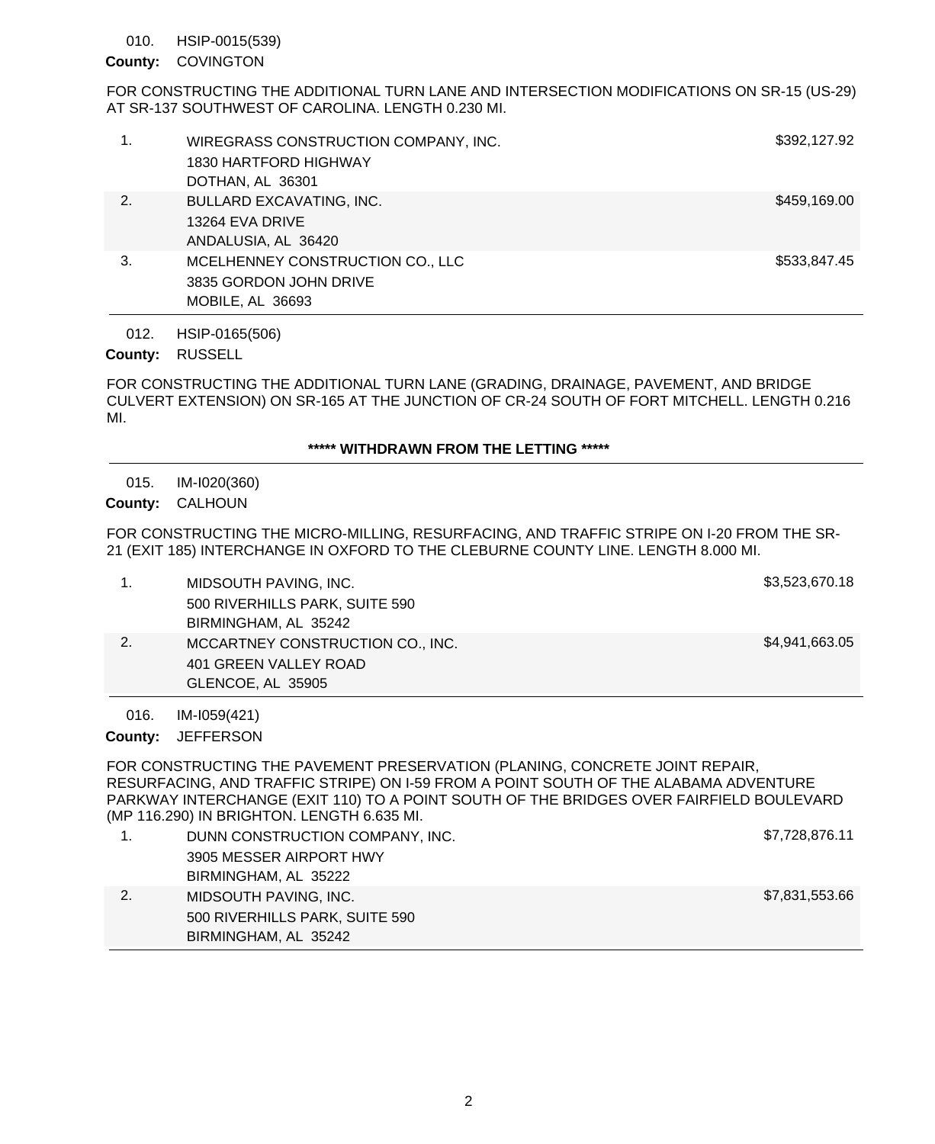#### HSIP-0015(539) 010.

## County: COVINGTON

FOR CONSTRUCTING THE ADDITIONAL TURN LANE AND INTERSECTION MODIFICATIONS ON SR-15 (US-29) AT SR-137 SOUTHWEST OF CAROLINA. LENGTH 0.230 MI.

| 1. | WIREGRASS CONSTRUCTION COMPANY, INC.<br>1830 HARTFORD HIGHWAY<br>DOTHAN, AL 36301 | \$392,127.92 |
|----|-----------------------------------------------------------------------------------|--------------|
| 2. | <b>BULLARD EXCAVATING, INC.</b><br>13264 EVA DRIVE<br>ANDALUSIA, AL 36420         | \$459,169.00 |
| 3. | MCELHENNEY CONSTRUCTION CO., LLC<br>3835 GORDON JOHN DRIVE<br>MOBILE, AL 36693    | \$533,847.45 |

HSIP-0165(506) 012.

County: RUSSELL

FOR CONSTRUCTING THE ADDITIONAL TURN LANE (GRADING, DRAINAGE, PAVEMENT, AND BRIDGE CULVERT EXTENSION) ON SR-165 AT THE JUNCTION OF CR-24 SOUTH OF FORT MITCHELL. LENGTH 0.216 MI.

### **\*\*\*\*\* WITHDRAWN FROM THE LETTING \*\*\*\*\***

IM-I020(360) 015.

# County: CALHOUN

FOR CONSTRUCTING THE MICRO-MILLING, RESURFACING, AND TRAFFIC STRIPE ON I-20 FROM THE SR-21 (EXIT 185) INTERCHANGE IN OXFORD TO THE CLEBURNE COUNTY LINE. LENGTH 8.000 MI.

| MIDSOUTH PAVING, INC.            | \$3,523,670.18 |
|----------------------------------|----------------|
| 500 RIVERHILLS PARK, SUITE 590   |                |
| BIRMINGHAM, AL 35242             |                |
| MCCARTNEY CONSTRUCTION CO., INC. | \$4,941,663.05 |
| 401 GREEN VALLEY ROAD            |                |
| GLENCOE, AL 35905                |                |
|                                  |                |

IM-I059(421) 016.

County: JEFFERSON

FOR CONSTRUCTING THE PAVEMENT PRESERVATION (PLANING, CONCRETE JOINT REPAIR, RESURFACING, AND TRAFFIC STRIPE) ON I-59 FROM A POINT SOUTH OF THE ALABAMA ADVENTURE PARKWAY INTERCHANGE (EXIT 110) TO A POINT SOUTH OF THE BRIDGES OVER FAIRFIELD BOULEVARD (MP 116.290) IN BRIGHTON. LENGTH 6.635 MI.

| DUNN CONSTRUCTION COMPANY, INC. | \$7,728,876.11 |
|---------------------------------|----------------|
| 3905 MESSER AIRPORT HWY         |                |
| BIRMINGHAM, AL 35222            |                |
| MIDSOUTH PAVING, INC.           | \$7,831,553.66 |
| 500 RIVERHILLS PARK, SUITE 590  |                |
| BIRMINGHAM, AL 35242            |                |
|                                 |                |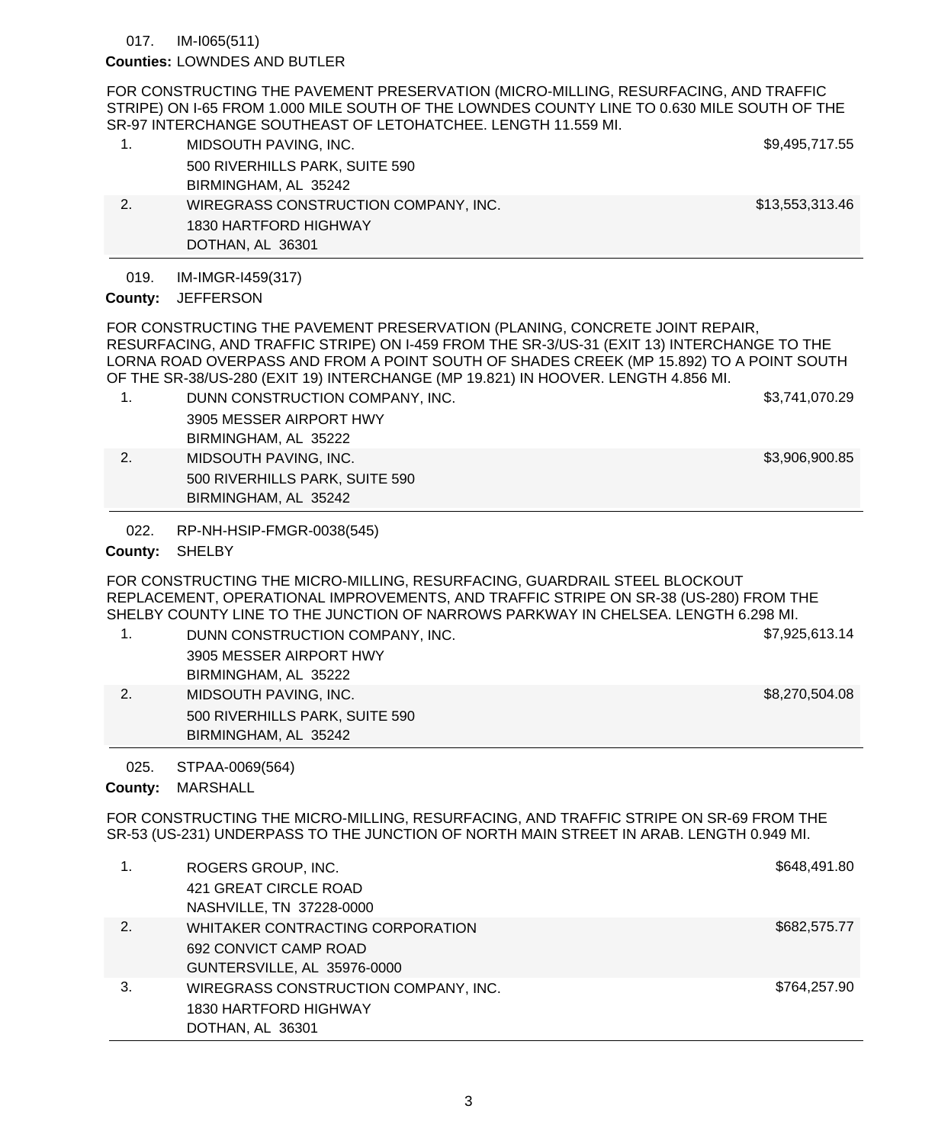#### IM-I065(511) 017.

### Counties: LOWNDES AND BUTLER

FOR CONSTRUCTING THE PAVEMENT PRESERVATION (MICRO-MILLING, RESURFACING, AND TRAFFIC STRIPE) ON I-65 FROM 1.000 MILE SOUTH OF THE LOWNDES COUNTY LINE TO 0.630 MILE SOUTH OF THE SR-97 INTERCHANGE SOUTHEAST OF LETOHATCHEE. LENGTH 11.559 MI.

|    | MIDSOUTH PAVING, INC.                | \$9,495,717.55  |
|----|--------------------------------------|-----------------|
|    | 500 RIVERHILLS PARK, SUITE 590       |                 |
|    | BIRMINGHAM, AL 35242                 |                 |
| 2. | WIREGRASS CONSTRUCTION COMPANY, INC. | \$13,553,313.46 |
|    | 1830 HARTFORD HIGHWAY                |                 |
|    | DOTHAN, AL 36301                     |                 |

#### IM-IMGR-I459(317) 019.

### County: JEFFERSON

FOR CONSTRUCTING THE PAVEMENT PRESERVATION (PLANING, CONCRETE JOINT REPAIR, RESURFACING, AND TRAFFIC STRIPE) ON I-459 FROM THE SR-3/US-31 (EXIT 13) INTERCHANGE TO THE LORNA ROAD OVERPASS AND FROM A POINT SOUTH OF SHADES CREEK (MP 15.892) TO A POINT SOUTH OF THE SR-38/US-280 (EXIT 19) INTERCHANGE (MP 19.821) IN HOOVER. LENGTH 4.856 MI.

- 1. DUNN CONSTRUCTION COMPANY, INC. \$3,741,070.29 3905 MESSER AIRPORT HWY BIRMINGHAM, AL 35222
- 2. MIDSOUTH PAVING, INC. And the state of the state of the state of the state of the state of the state of the state of the state of the state of the state of the state of the state of the state of the state of the state o 500 RIVERHILLS PARK, SUITE 590 BIRMINGHAM, AL 35242
	- RP-NH-HSIP-FMGR-0038(545) 022.

County: SHELBY

FOR CONSTRUCTING THE MICRO-MILLING, RESURFACING, GUARDRAIL STEEL BLOCKOUT REPLACEMENT, OPERATIONAL IMPROVEMENTS, AND TRAFFIC STRIPE ON SR-38 (US-280) FROM THE SHELBY COUNTY LINE TO THE JUNCTION OF NARROWS PARKWAY IN CHELSEA. LENGTH 6.298 MI.

1. DUNN CONSTRUCTION COMPANY, INC. \$7,925,613.14 3905 MESSER AIRPORT HWY BIRMINGHAM, AL 35222 2. MIDSOUTH PAVING, INC. **\$8,270,504.08** 500 RIVERHILLS PARK, SUITE 590 BIRMINGHAM, AL 35242

STPAA-0069(564) 025.

County: MARSHALL

FOR CONSTRUCTING THE MICRO-MILLING, RESURFACING, AND TRAFFIC STRIPE ON SR-69 FROM THE SR-53 (US-231) UNDERPASS TO THE JUNCTION OF NORTH MAIN STREET IN ARAB. LENGTH 0.949 MI.

|    | ROGERS GROUP, INC.                   | \$648,491.80 |
|----|--------------------------------------|--------------|
|    | 421 GREAT CIRCLE ROAD                |              |
|    | NASHVILLE, TN 37228-0000             |              |
| 2. | WHITAKER CONTRACTING CORPORATION     | \$682,575.77 |
|    | 692 CONVICT CAMP ROAD                |              |
|    | GUNTERSVILLE, AL 35976-0000          |              |
| 3. | WIREGRASS CONSTRUCTION COMPANY, INC. | \$764,257.90 |
|    | 1830 HARTFORD HIGHWAY                |              |
|    | DOTHAN, AL 36301                     |              |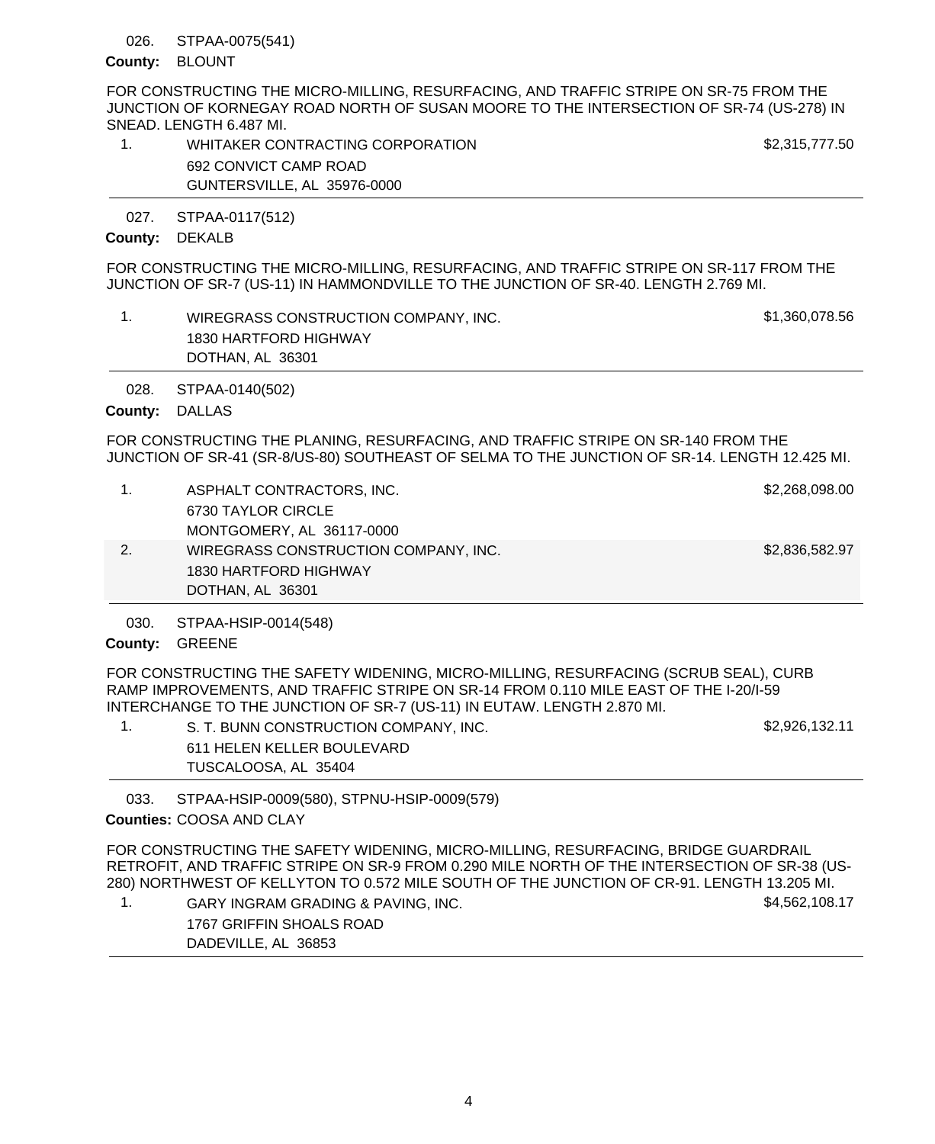#### STPAA-0075(541) 026.

### County: BLOUNT

FOR CONSTRUCTING THE MICRO-MILLING, RESURFACING, AND TRAFFIC STRIPE ON SR-75 FROM THE JUNCTION OF KORNEGAY ROAD NORTH OF SUSAN MOORE TO THE INTERSECTION OF SR-74 (US-278) IN SNEAD. LENGTH 6.487 MI.

1. WHITAKER CONTRACTING CORPORATION **\$2,315,777.50** 692 CONVICT CAMP ROAD GUNTERSVILLE, AL 35976-0000

STPAA-0117(512) 027.

### County: DEKALB

FOR CONSTRUCTING THE MICRO-MILLING, RESURFACING, AND TRAFFIC STRIPE ON SR-117 FROM THE JUNCTION OF SR-7 (US-11) IN HAMMONDVILLE TO THE JUNCTION OF SR-40. LENGTH 2.769 MI.

1. WIREGRASS CONSTRUCTION COMPANY, INC. \$1,360,078.56 1830 HARTFORD HIGHWAY DOTHAN, AL 36301

STPAA-0140(502) 028.

# County: DALLAS

FOR CONSTRUCTING THE PLANING, RESURFACING, AND TRAFFIC STRIPE ON SR-140 FROM THE JUNCTION OF SR-41 (SR-8/US-80) SOUTHEAST OF SELMA TO THE JUNCTION OF SR-14. LENGTH 12.425 MI.

| $\mathbf{1}$ . | ASPHALT CONTRACTORS, INC.            | \$2,268,098.00 |
|----------------|--------------------------------------|----------------|
|                | 6730 TAYLOR CIRCLE                   |                |
|                | MONTGOMERY, AL 36117-0000            |                |
| 2.             | WIREGRASS CONSTRUCTION COMPANY, INC. | \$2,836,582.97 |
|                | 1830 HARTFORD HIGHWAY                |                |
|                | DOTHAN, AL 36301                     |                |

STPAA-HSIP-0014(548) 030.

### County: GREENE

FOR CONSTRUCTING THE SAFETY WIDENING, MICRO-MILLING, RESURFACING (SCRUB SEAL), CURB RAMP IMPROVEMENTS, AND TRAFFIC STRIPE ON SR-14 FROM 0.110 MILE EAST OF THE I-20/I-59 INTERCHANGE TO THE JUNCTION OF SR-7 (US-11) IN EUTAW. LENGTH 2.870 MI.

1. S. T. BUNN CONSTRUCTION COMPANY, INC.  $$2,926,132.11$ 611 HELEN KELLER BOULEVARD TUSCALOOSA, AL 35404

STPAA-HSIP-0009(580), STPNU-HSIP-0009(579) 033.

# COOSA AND CLAY **Counties:**

FOR CONSTRUCTING THE SAFETY WIDENING, MICRO-MILLING, RESURFACING, BRIDGE GUARDRAIL RETROFIT, AND TRAFFIC STRIPE ON SR-9 FROM 0.290 MILE NORTH OF THE INTERSECTION OF SR-38 (US-280) NORTHWEST OF KELLYTON TO 0.572 MILE SOUTH OF THE JUNCTION OF CR-91. LENGTH 13.205 MI.

1. GARY INGRAM GRADING & PAVING, INC. The state of the state of the state of the S4,562,108.17 1767 GRIFFIN SHOALS ROAD DADEVILLE, AL 36853